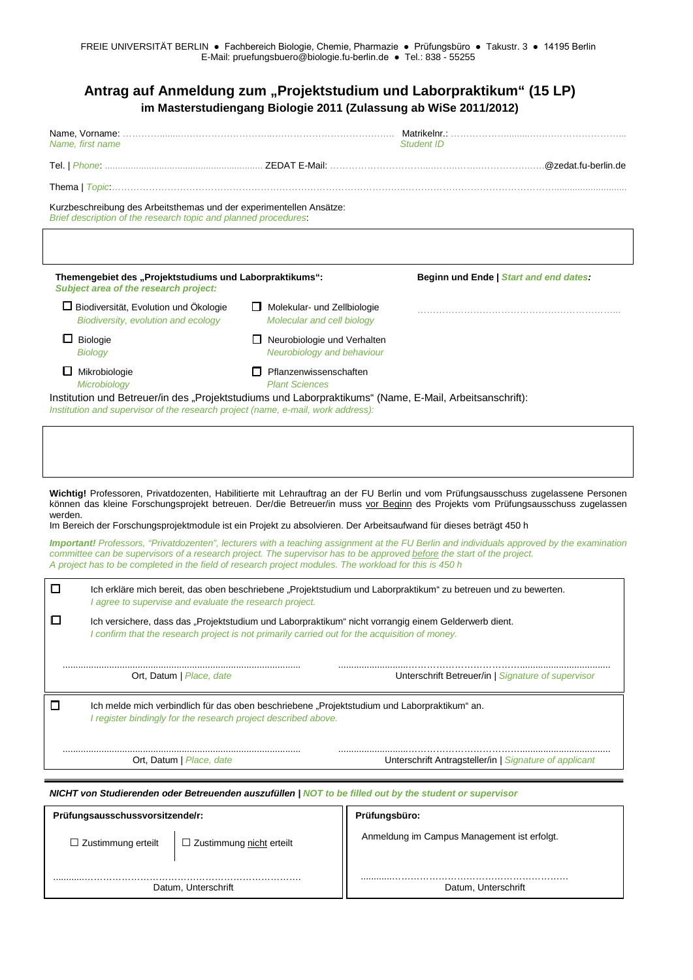|                                                                                                                                                                                                                                  |                                                                  | Antrag auf Anmeldung zum "Projektstudium und Laborpraktikum" (15 LP)<br>im Masterstudiengang Biologie 2011 (Zulassung ab WiSe 2011/2012)   |
|----------------------------------------------------------------------------------------------------------------------------------------------------------------------------------------------------------------------------------|------------------------------------------------------------------|--------------------------------------------------------------------------------------------------------------------------------------------|
| Name, first name                                                                                                                                                                                                                 |                                                                  | <b>Student ID</b>                                                                                                                          |
|                                                                                                                                                                                                                                  |                                                                  |                                                                                                                                            |
|                                                                                                                                                                                                                                  |                                                                  |                                                                                                                                            |
| Kurzbeschreibung des Arbeitsthemas und der experimentellen Ansätze:<br>Brief description of the research topic and planned procedures.                                                                                           |                                                                  |                                                                                                                                            |
| Themengebiet des "Projektstudiums und Laborpraktikums":                                                                                                                                                                          |                                                                  | Beginn und Ende   Start and end dates:                                                                                                     |
| Subject area of the research project:                                                                                                                                                                                            |                                                                  |                                                                                                                                            |
| Biodiversität, Evolution und Ökologie<br>Biodiversity, evolution and ecology                                                                                                                                                     | Molekular- und Zellbiologie<br>Molecular and cell biology        |                                                                                                                                            |
| $\Box$ Biologie<br><b>Biology</b>                                                                                                                                                                                                | $\Box$ Neurobiologie und Verhalten<br>Neurobiology and behaviour |                                                                                                                                            |
| $\Box$ Mikrobiologie<br>Microbiology                                                                                                                                                                                             | $\Box$ Pflanzenwissenschaften<br><b>Plant Sciences</b>           |                                                                                                                                            |
| Institution und Betreuer/in des "Projektstudiums und Laborpraktikums" (Name, E-Mail, Arbeitsanschrift):<br>Institution and supervisor of the research project (name, e-mail, work address):                                      |                                                                  | Wichtig! Professoren, Privatdozenten, Habilitierte mit Lehrauftrag an der FU Berlin und vom Prüfungsausschuss zugelassene Personen         |
| werden.<br>Im Bereich der Forschungsprojektmodule ist ein Projekt zu absolvieren. Der Arbeitsaufwand für dieses beträgt 450 h                                                                                                    |                                                                  | können das kleine Forschungsprojekt betreuen. Der/die Betreuer/in muss vor Beginn des Projekts vom Prüfungsausschuss zugelassen            |
| committee can be supervisors of a research project. The supervisor has to be approved before the start of the project.<br>A project has to be completed in the field of research project modules. The workload for this is 450 h |                                                                  | Important! Professors, "Privatdozenten", lecturers with a teaching assignment at the FU Berlin and individuals approved by the examination |
| О<br>I agree to supervise and evaluate the research project.                                                                                                                                                                     |                                                                  | Ich erkläre mich bereit, das oben beschriebene "Projektstudium und Laborpraktikum" zu betreuen und zu bewerten.                            |
| □<br>I confirm that the research project is not primarily carried out for the acquisition of money.                                                                                                                              |                                                                  | Ich versichere, dass das "Projektstudium und Laborpraktikum" nicht vorrangig einem Gelderwerb dient.                                       |
| Ort, Datum   Place, date                                                                                                                                                                                                         |                                                                  | Unterschrift Betreuer/in   Signature of supervisor                                                                                         |
| □<br>Ich melde mich verbindlich für das oben beschriebene "Projektstudium und Laborpraktikum" an.<br>I register bindingly for the research project described above.                                                              |                                                                  |                                                                                                                                            |
| Ort, Datum <i>  Place, date</i>                                                                                                                                                                                                  |                                                                  | Unterschrift Antragsteller/in   Signature of applicant                                                                                     |
| <b>NICHT von Studierenden oder Betreuenden auszufüllen   NOT to be filled out by the student or supervisor</b>                                                                                                                   |                                                                  |                                                                                                                                            |
| Prüfungsausschussvorsitzende/r:                                                                                                                                                                                                  |                                                                  | Prüfungsbüro:                                                                                                                              |

| $\Box$ Zustimmung erteilt | $\Box$ Zustimmung nicht erteilt | Anmeldung im Campus Management ist erfolgt. |
|---------------------------|---------------------------------|---------------------------------------------|
| Datum, Unterschrift       |                                 | Datum, Unterschrift                         |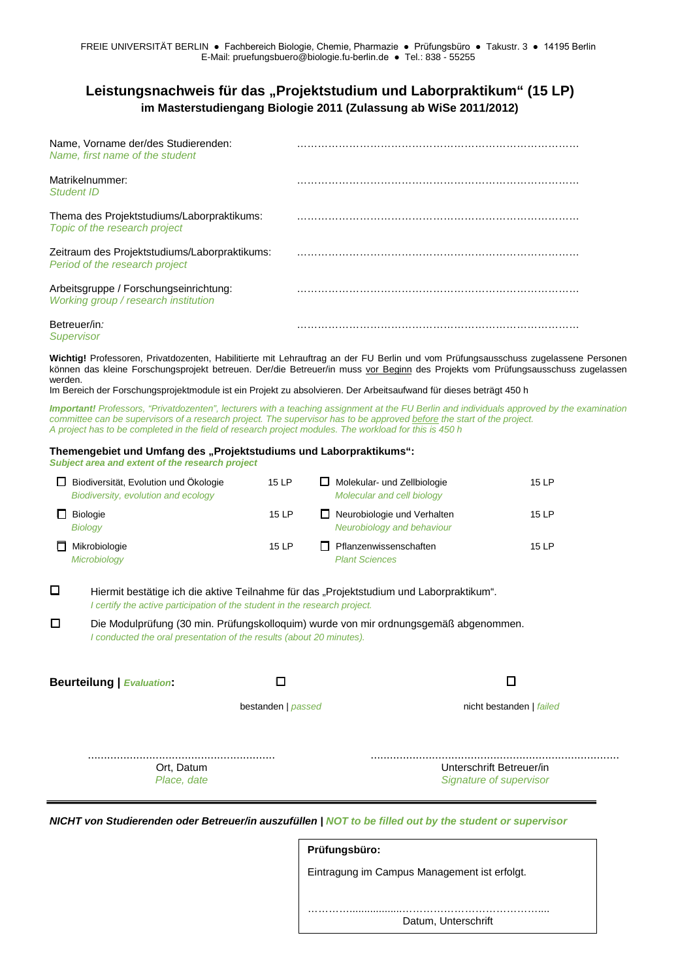## **Leistungsnachweis für das "Projektstudium und Laborpraktikum" (15 LP) im Masterstudiengang Biologie 2011 (Zulassung ab WiSe 2011/2012)**

| Name, Vorname der/des Studierenden:<br>Name, first name of the student          |  |
|---------------------------------------------------------------------------------|--|
| Matrikelnummer:<br>Student ID                                                   |  |
| Thema des Projektstudiums/Laborpraktikums:<br>Topic of the research project     |  |
| Zeitraum des Projektstudiums/Laborpraktikums:<br>Period of the research project |  |
| Arbeitsgruppe / Forschungseinrichtung:<br>Working group / research institution  |  |
| Betreuer/in:                                                                    |  |

*Supervisor*

**Wichtig!** Professoren, Privatdozenten, Habilitierte mit Lehrauftrag an der FU Berlin und vom Prüfungsausschuss zugelassene Personen können das kleine Forschungsprojekt betreuen. Der/die Betreuer/in muss vor Beginn des Projekts vom Prüfungsausschuss zugelassen werden.

Im Bereich der Forschungsprojektmodule ist ein Projekt zu absolvieren. Der Arbeitsaufwand für dieses beträgt 450 h

*Important! Professors, "Privatdozenten", lecturers with a teaching assignment at the FU Berlin and individuals approved by the examination committee can be supervisors of a research project. The supervisor has to be approved before the start of the project. A project has to be completed in the field of research project modules. The workload for this is 450 h*

## Themengebiet und Umfang des "Projektstudiums und Laborpraktikums":

*Subject area and extent of the research project*

| $\mathbf{I}$ | Biodiversität, Evolution und Ökologie<br>Biodiversity, evolution and ecology | 15 LP | ப   | Molekular- und Zellbiologie<br>Molecular and cell biology | 15 LP |
|--------------|------------------------------------------------------------------------------|-------|-----|-----------------------------------------------------------|-------|
|              | <b>Biologie</b><br><b>Biology</b>                                            | 15 LP |     | Neurobiologie und Verhalten<br>Neurobiology and behaviour | 15 LP |
|              | Mikrobiologie<br>Microbiology                                                | 15 LP | I L | Pflanzenwissenschaften<br><b>Plant Sciences</b>           | 15 LP |

**□** Hiermit bestätige ich die aktive Teilnahme für das "Projektstudium und Laborpraktikum". *I certify the active participation of the student in the research project.*

**□** Die Modulprüfung (30 min. Prüfungskolloquim) wurde von mir ordnungsgemäß abgenommen. *I conducted the oral presentation of the results (about 20 minutes).*

**Beurteilung |** *Evaluation***: □ □**

bestanden | *passed* nicht bestanden | *failed*

.......................................................... ............................................................................. Ort, Datum Unterschrift Betreuer/in *Place, date Signature of supervisor*

*NICHT von Studierenden oder Betreuer/in auszufüllen | NOT to be filled out by the student or supervisor*

| Prüfungsbüro:                                |  |  |  |  |
|----------------------------------------------|--|--|--|--|
| Eintragung im Campus Management ist erfolgt. |  |  |  |  |
|                                              |  |  |  |  |
| Datum, Unterschrift                          |  |  |  |  |
|                                              |  |  |  |  |